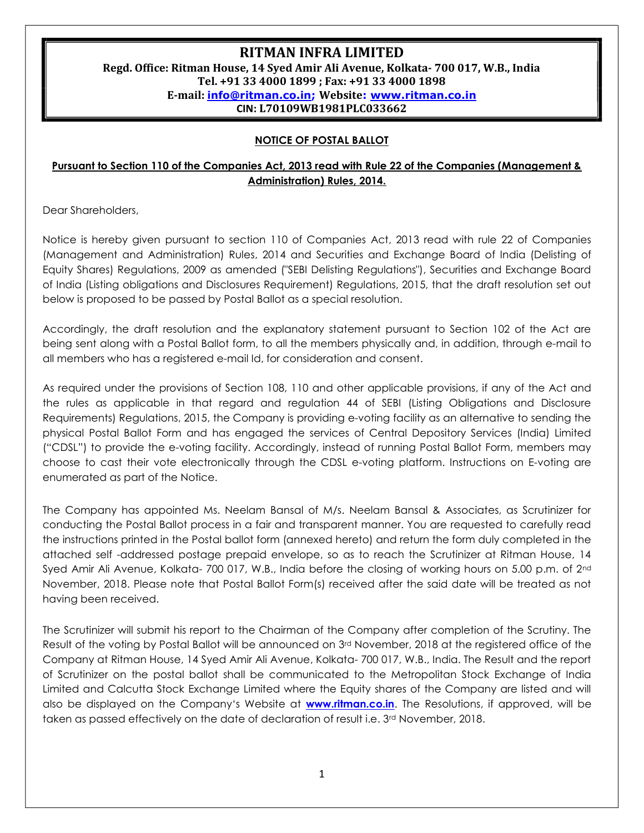# RITMAN INFRA LIMITED

# Regd. Office: Ritman House, 14 Syed Amir Ali Avenue, Kolkata- 700 017, W.B., India Tel. +91 33 4000 1899 ; Fax: +91 33 4000 1898 E-mail: info@ritman.co.in; Website: www.ritman.co.in CIN: L70109WB1981PLC033662

#### NOTICE OF POSTAL BALLOT

## Pursuant to Section 110 of the Companies Act, 2013 read with Rule 22 of the Companies (Management & Administration) Rules, 2014.

Dear Shareholders,

Notice is hereby given pursuant to section 110 of Companies Act, 2013 read with rule 22 of Companies (Management and Administration) Rules, 2014 and Securities and Exchange Board of India (Delisting of Equity Shares) Regulations, 2009 as amended ("SEBI Delisting Regulations"), Securities and Exchange Board of India (Listing obligations and Disclosures Requirement) Regulations, 2015, that the draft resolution set out below is proposed to be passed by Postal Ballot as a special resolution.

Accordingly, the draft resolution and the explanatory statement pursuant to Section 102 of the Act are being sent along with a Postal Ballot form, to all the members physically and, in addition, through e-mail to all members who has a registered e-mail Id, for consideration and consent.

As required under the provisions of Section 108, 110 and other applicable provisions, if any of the Act and the rules as applicable in that regard and regulation 44 of SEBI (Listing Obligations and Disclosure Requirements) Regulations, 2015, the Company is providing e-voting facility as an alternative to sending the physical Postal Ballot Form and has engaged the services of Central Depository Services (India) Limited ("CDSL") to provide the e-voting facility. Accordingly, instead of running Postal Ballot Form, members may choose to cast their vote electronically through the CDSL e-voting platform. Instructions on E-voting are enumerated as part of the Notice.

The Company has appointed Ms. Neelam Bansal of M/s. Neelam Bansal & Associates, as Scrutinizer for conducting the Postal Ballot process in a fair and transparent manner. You are requested to carefully read the instructions printed in the Postal ballot form (annexed hereto) and return the form duly completed in the attached self -addressed postage prepaid envelope, so as to reach the Scrutinizer at Ritman House, 14 Syed Amir Ali Avenue, Kolkata- 700 017, W.B., India before the closing of working hours on 5.00 p.m. of 2<sup>nd</sup> November, 2018. Please note that Postal Ballot Form(s) received after the said date will be treated as not having been received.

The Scrutinizer will submit his report to the Chairman of the Company after completion of the Scrutiny. The Result of the voting by Postal Ballot will be announced on 3<sup>rd</sup> November, 2018 at the registered office of the Company at Ritman House, 14 Syed Amir Ali Avenue, Kolkata- 700 017, W.B., India. The Result and the report of Scrutinizer on the postal ballot shall be communicated to the Metropolitan Stock Exchange of India Limited and Calcutta Stock Exchange Limited where the Equity shares of the Company are listed and will also be displayed on the Company's Website at **www.ritman.co.in**. The Resolutions, if approved, will be taken as passed effectively on the date of declaration of result i.e. 3<sup>rd</sup> November, 2018.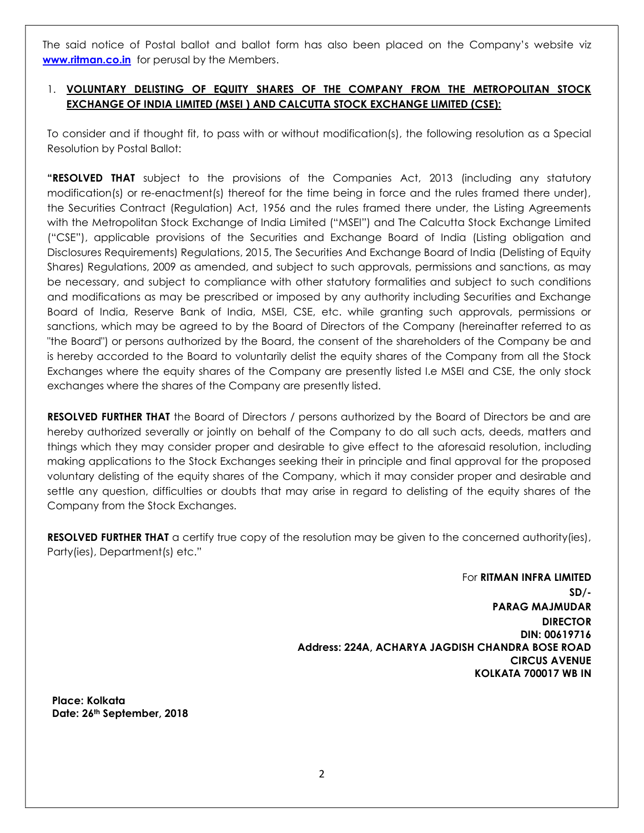The said notice of Postal ballot and ballot form has also been placed on the Company's website viz www.ritman.co.in for perusal by the Members.

## 1. VOLUNTARY DELISTING OF EQUITY SHARES OF THE COMPANY FROM THE METROPOLITAN STOCK EXCHANGE OF INDIA LIMITED (MSEI ) AND CALCUTTA STOCK EXCHANGE LIMITED (CSE):

To consider and if thought fit, to pass with or without modification(s), the following resolution as a Special Resolution by Postal Ballot:

**"RESOLVED THAT** subject to the provisions of the Companies Act, 2013 (including any statutory modification(s) or re-enactment(s) thereof for the time being in force and the rules framed there under), the Securities Contract (Regulation) Act, 1956 and the rules framed there under, the Listing Agreements with the Metropolitan Stock Exchange of India Limited ("MSEI") and The Calcutta Stock Exchange Limited ("CSE"), applicable provisions of the Securities and Exchange Board of India (Listing obligation and Disclosures Requirements) Regulations, 2015, The Securities And Exchange Board of India (Delisting of Equity Shares) Regulations, 2009 as amended, and subject to such approvals, permissions and sanctions, as may be necessary, and subject to compliance with other statutory formalities and subject to such conditions and modifications as may be prescribed or imposed by any authority including Securities and Exchange Board of India, Reserve Bank of India, MSEI, CSE, etc. while granting such approvals, permissions or sanctions, which may be agreed to by the Board of Directors of the Company (hereinafter referred to as "the Board") or persons authorized by the Board, the consent of the shareholders of the Company be and is hereby accorded to the Board to voluntarily delist the equity shares of the Company from all the Stock Exchanges where the equity shares of the Company are presently listed I.e MSEI and CSE, the only stock exchanges where the shares of the Company are presently listed.

RESOLVED FURTHER THAT the Board of Directors / persons authorized by the Board of Directors be and are hereby authorized severally or jointly on behalf of the Company to do all such acts, deeds, matters and things which they may consider proper and desirable to give effect to the aforesaid resolution, including making applications to the Stock Exchanges seeking their in principle and final approval for the proposed voluntary delisting of the equity shares of the Company, which it may consider proper and desirable and settle any question, difficulties or doubts that may arise in regard to delisting of the equity shares of the Company from the Stock Exchanges.

RESOLVED FURTHER THAT a certify true copy of the resolution may be given to the concerned authority(ies), Party(ies), Department(s) etc."

> For RITMAN INFRA LIMITED  $SD/-$ PARAG MAJMUDAR DIRECTOR DIN: 00619716 Address: 224A, ACHARYA JAGDISH CHANDRA BOSE ROAD CIRCUS AVENUE KOLKATA 700017 WB IN

Place: Kolkata Date: 26<sup>th</sup> September, 2018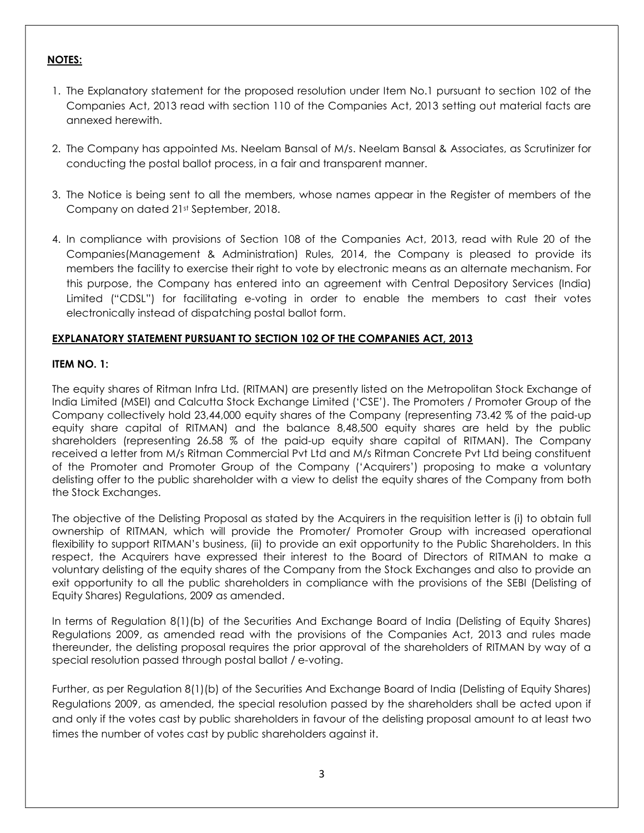### NOTES:

- 1. The Explanatory statement for the proposed resolution under Item No.1 pursuant to section 102 of the Companies Act, 2013 read with section 110 of the Companies Act, 2013 setting out material facts are annexed herewith.
- 2. The Company has appointed Ms. Neelam Bansal of M/s. Neelam Bansal & Associates, as Scrutinizer for conducting the postal ballot process, in a fair and transparent manner.
- 3. The Notice is being sent to all the members, whose names appear in the Register of members of the Company on dated 21st September, 2018.
- 4. In compliance with provisions of Section 108 of the Companies Act, 2013, read with Rule 20 of the Companies(Management & Administration) Rules, 2014, the Company is pleased to provide its members the facility to exercise their right to vote by electronic means as an alternate mechanism. For this purpose, the Company has entered into an agreement with Central Depository Services (India) Limited ("CDSL") for facilitating e-voting in order to enable the members to cast their votes electronically instead of dispatching postal ballot form.

## EXPLANATORY STATEMENT PURSUANT TO SECTION 102 OF THE COMPANIES ACT, 2013

### ITEM NO. 1:

The equity shares of Ritman Infra Ltd. (RITMAN) are presently listed on the Metropolitan Stock Exchange of India Limited (MSEI) and Calcutta Stock Exchange Limited ('CSE'). The Promoters / Promoter Group of the Company collectively hold 23,44,000 equity shares of the Company (representing 73.42 % of the paid-up equity share capital of RITMAN) and the balance 8,48,500 equity shares are held by the public shareholders (representing 26.58 % of the paid-up equity share capital of RITMAN). The Company received a letter from M/s Ritman Commercial Pvt Ltd and M/s Ritman Concrete Pvt Ltd being constituent of the Promoter and Promoter Group of the Company ('Acquirers') proposing to make a voluntary delisting offer to the public shareholder with a view to delist the equity shares of the Company from both the Stock Exchanges.

The objective of the Delisting Proposal as stated by the Acquirers in the requisition letter is (i) to obtain full ownership of RITMAN, which will provide the Promoter/ Promoter Group with increased operational flexibility to support RITMAN's business, (ii) to provide an exit opportunity to the Public Shareholders. In this respect, the Acquirers have expressed their interest to the Board of Directors of RITMAN to make a voluntary delisting of the equity shares of the Company from the Stock Exchanges and also to provide an exit opportunity to all the public shareholders in compliance with the provisions of the SEBI (Delisting of Equity Shares) Regulations, 2009 as amended.

In terms of Regulation 8(1)(b) of the Securities And Exchange Board of India (Delisting of Equity Shares) Regulations 2009, as amended read with the provisions of the Companies Act, 2013 and rules made thereunder, the delisting proposal requires the prior approval of the shareholders of RITMAN by way of a special resolution passed through postal ballot / e-voting.

Further, as per Regulation 8(1)(b) of the Securities And Exchange Board of India (Delisting of Equity Shares) Regulations 2009, as amended, the special resolution passed by the shareholders shall be acted upon if and only if the votes cast by public shareholders in favour of the delisting proposal amount to at least two times the number of votes cast by public shareholders against it.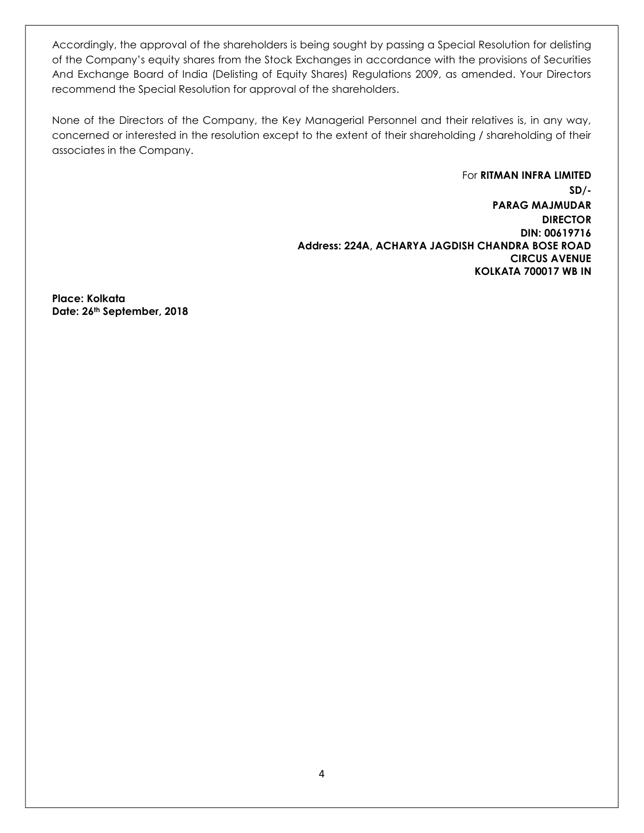Accordingly, the approval of the shareholders is being sought by passing a Special Resolution for delisting of the Company's equity shares from the Stock Exchanges in accordance with the provisions of Securities And Exchange Board of India (Delisting of Equity Shares) Regulations 2009, as amended. Your Directors recommend the Special Resolution for approval of the shareholders.

None of the Directors of the Company, the Key Managerial Personnel and their relatives is, in any way, concerned or interested in the resolution except to the extent of their shareholding / shareholding of their associates in the Company.

> For RITMAN INFRA LIMITED SD/- PARAG MAJMUDAR DIRECTOR DIN: 00619716 Address: 224A, ACHARYA JAGDISH CHANDRA BOSE ROAD CIRCUS AVENUE KOLKATA 700017 WB IN

Place: Kolkata Date: 26th September, 2018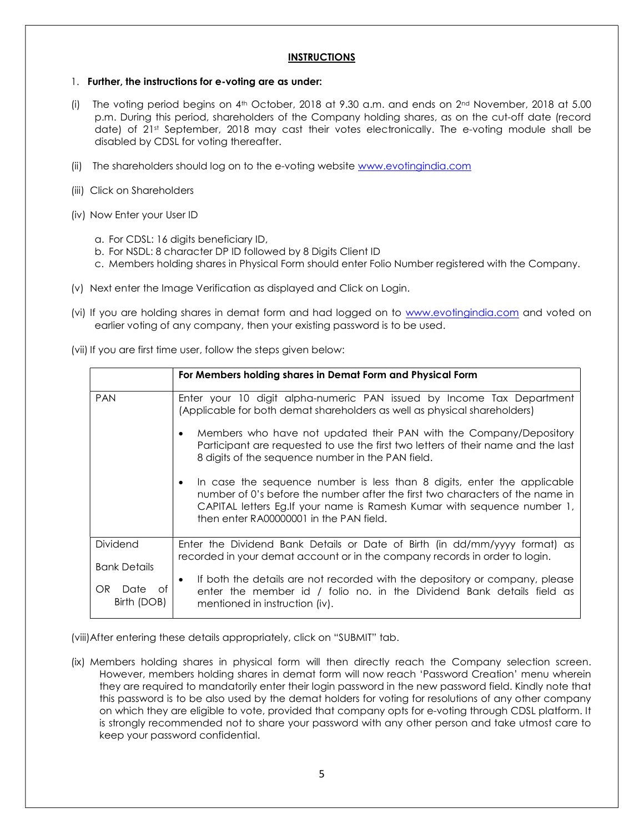### **INSTRUCTIONS**

#### 1. Further, the instructions for e-voting are as under:

- (i) The voting period begins on  $4^{\text{th}}$  October, 2018 at 9.30 a.m. and ends on  $2^{\text{nd}}$  November, 2018 at 5.00 p.m. During this period, shareholders of the Company holding shares, as on the cut-off date (record date) of 21st September, 2018 may cast their votes electronically. The e-voting module shall be disabled by CDSL for voting thereafter.
- (ii) The shareholders should log on to the e-voting website www.evotingindia.com
- (iii) Click on Shareholders
- (iv) Now Enter your User ID
	- a. For CDSL: 16 digits beneficiary ID,
	- b. For NSDL: 8 character DP ID followed by 8 Digits Client ID
	- c. Members holding shares in Physical Form should enter Folio Number registered with the Company.
- (v) Next enter the Image Verification as displayed and Click on Login.
- (vi) If you are holding shares in demat form and had logged on to www.evotingindia.com and voted on earlier voting of any company, then your existing password is to be used.

(vii) If you are first time user, follow the steps given below:

|                                                      | For Members holding shares in Demat Form and Physical Form                                                                                                                                                                                                                                   |
|------------------------------------------------------|----------------------------------------------------------------------------------------------------------------------------------------------------------------------------------------------------------------------------------------------------------------------------------------------|
| <b>PAN</b>                                           | Enter your 10 digit alpha-numeric PAN issued by Income Tax Department<br>(Applicable for both demat shareholders as well as physical shareholders)                                                                                                                                           |
|                                                      | Members who have not updated their PAN with the Company/Depository<br>$\bullet$<br>Participant are requested to use the first two letters of their name and the last<br>8 digits of the sequence number in the PAN field.                                                                    |
|                                                      | In case the sequence number is less than 8 digits, enter the applicable<br>$\bullet$<br>number of 0's before the number after the first two characters of the name in<br>CAPITAL letters Eg. If your name is Ramesh Kumar with sequence number 1,<br>then enter RA00000001 in the PAN field. |
| Dividend                                             | Enter the Dividend Bank Details or Date of Birth (in dd/mm/yyyy format) as<br>recorded in your demat account or in the company records in order to login.                                                                                                                                    |
| <b>Bank Details</b><br>OR.<br>Date of<br>Birth (DOB) | If both the details are not recorded with the depository or company, please<br>$\bullet$<br>enter the member id / folio no. in the Dividend Bank details field as<br>mentioned in instruction (iv).                                                                                          |

(viii)After entering these details appropriately, click on "SUBMIT" tab.

(ix) Members holding shares in physical form will then directly reach the Company selection screen. However, members holding shares in demat form will now reach 'Password Creation' menu wherein they are required to mandatorily enter their login password in the new password field. Kindly note that this password is to be also used by the demat holders for voting for resolutions of any other company on which they are eligible to vote, provided that company opts for e-voting through CDSL platform. It is strongly recommended not to share your password with any other person and take utmost care to keep your password confidential.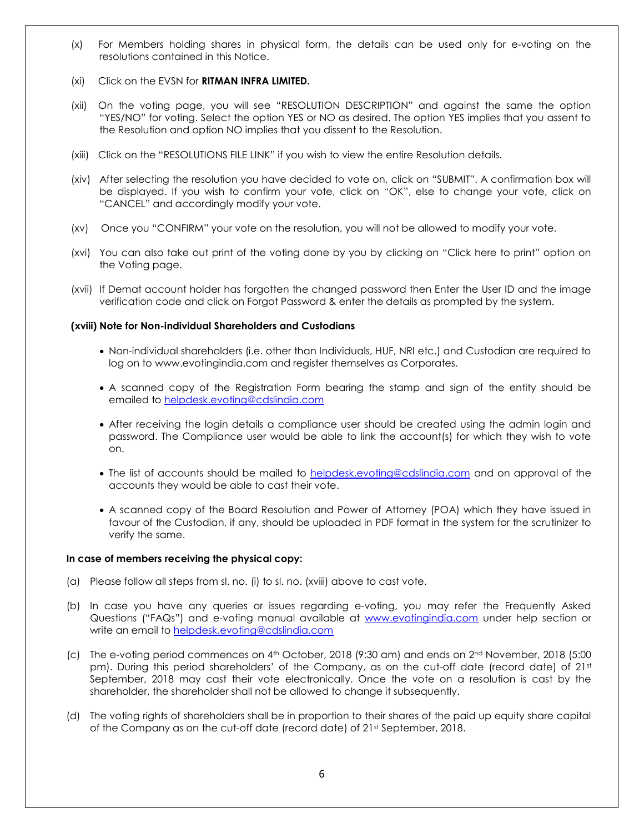- (x) For Members holding shares in physical form, the details can be used only for e-voting on the resolutions contained in this Notice.
- (xi) Click on the EVSN for **RITMAN INFRA LIMITED.**
- (xii) On the voting page, you will see "RESOLUTION DESCRIPTION" and against the same the option "YES/NO" for voting. Select the option YES or NO as desired. The option YES implies that you assent to the Resolution and option NO implies that you dissent to the Resolution.
- (xiii) Click on the "RESOLUTIONS FILE LINK" if you wish to view the entire Resolution details.
- (xiv) After selecting the resolution you have decided to vote on, click on "SUBMIT". A confirmation box will be displayed. If you wish to confirm your vote, click on "OK", else to change your vote, click on "CANCEL" and accordingly modify your vote.
- (xv) Once you "CONFIRM" your vote on the resolution, you will not be allowed to modify your vote.
- (xvi) You can also take out print of the voting done by you by clicking on "Click here to print" option on the Voting page.
- (xvii) If Demat account holder has forgotten the changed password then Enter the User ID and the image verification code and click on Forgot Password & enter the details as prompted by the system.

#### (xviii) Note for Non-individual Shareholders and Custodians

- Non-individual shareholders (i.e. other than Individuals, HUF, NRI etc.) and Custodian are required to log on to www.evotingindia.com and register themselves as Corporates.
- A scanned copy of the Registration Form bearing the stamp and sign of the entity should be emailed to helpdesk.evoting@cdslindia.com
- After receiving the login details a compliance user should be created using the admin login and password. The Compliance user would be able to link the account(s) for which they wish to vote on.
- The list of accounts should be mailed to helpdesk.evoting@cdslindia.com and on approval of the accounts they would be able to cast their vote.
- A scanned copy of the Board Resolution and Power of Attorney (POA) which they have issued in favour of the Custodian, if any, should be uploaded in PDF format in the system for the scrutinizer to verify the same.

#### In case of members receiving the physical copy:

- (a) Please follow all steps from sl. no. (i) to sl. no. (xviii) above to cast vote.
- (b) In case you have any queries or issues regarding e-voting, you may refer the Frequently Asked Questions ("FAQs") and e-voting manual available at www.evotingindia.com under help section or write an email to helpdesk.evoting@cdslindia.com
- (c) The e-voting period commences on  $4<sup>th</sup>$  October, 2018 (9:30 am) and ends on  $2<sup>nd</sup>$  November, 2018 (5:00 pm). During this period shareholders' of the Company, as on the cut-off date (record date) of 21st September, 2018 may cast their vote electronically. Once the vote on a resolution is cast by the shareholder, the shareholder shall not be allowed to change it subsequently.
- (d) The voting rights of shareholders shall be in proportion to their shares of the paid up equity share capital of the Company as on the cut-off date (record date) of 21st September, 2018.